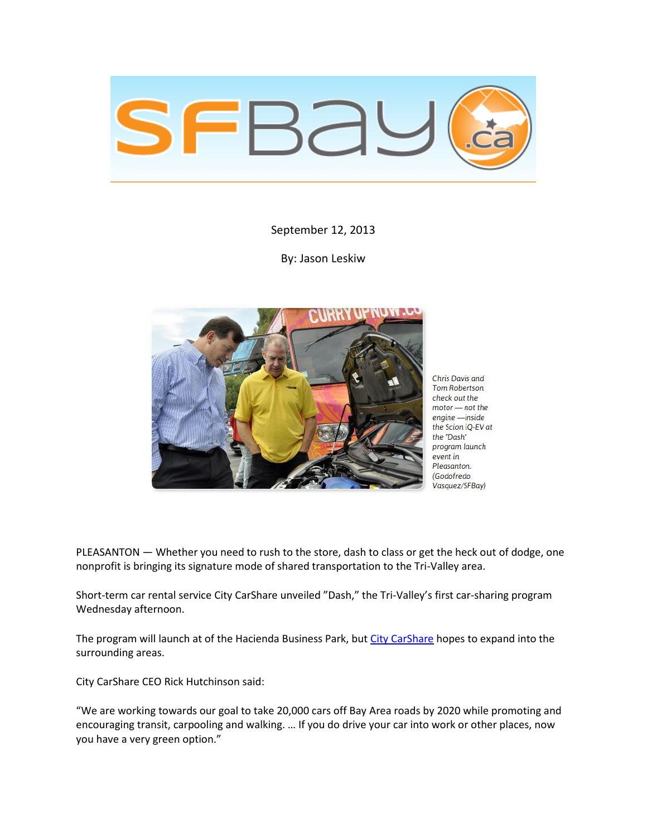

September 12, 2013

By: Jason Leskiw



Chris Davis and Tom Robertson check out the motor - not the engine -inside the Scion iQ-EV at the "Dash" program launch event in Pleasanton. (Godofredo Vasquez/SFBay)

PLEASANTON — Whether you need to rush to the store, dash to class or get the heck out of dodge, one nonprofit is bringing its signature mode of shared transportation to the Tri-Valley area.

Short-term car rental service City CarShare unveiled "Dash," the Tri-Valley's first car-sharing program Wednesday afternoon.

The program will launch at of the Hacienda Business Park, bu[t City CarShare](https://www.citycarshare.org/dash/) hopes to expand into the surrounding areas.

City CarShare CEO Rick Hutchinson said:

"We are working towards our goal to take 20,000 cars off Bay Area roads by 2020 while promoting and encouraging transit, carpooling and walking. … If you do drive your car into work or other places, now you have a very green option."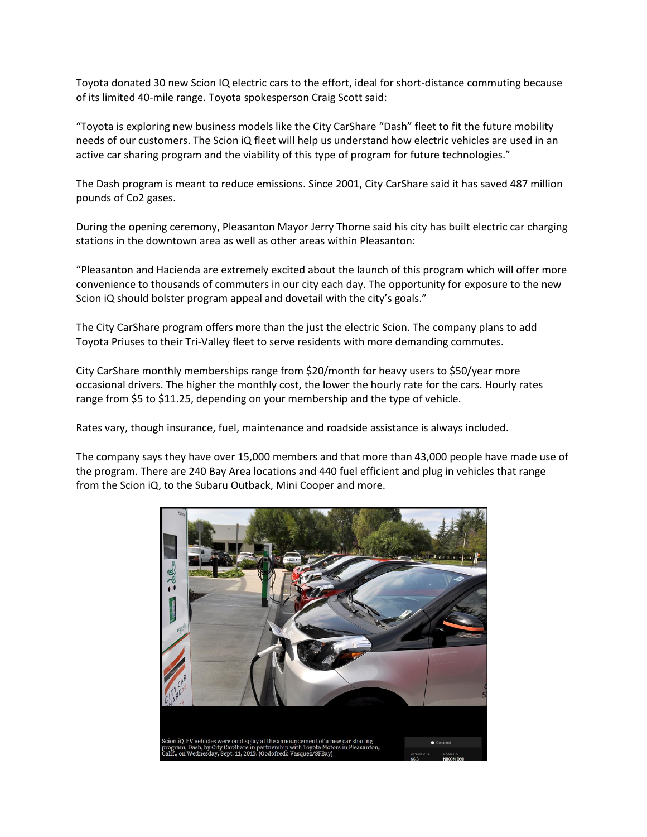Toyota donated 30 new Scion IQ electric cars to the effort, ideal for short-distance commuting because of its limited 40-mile range. Toyota spokesperson Craig Scott said:

"Toyota is exploring new business models like the City CarShare "Dash" fleet to fit the future mobility needs of our customers. The Scion iQ fleet will help us understand how electric vehicles are used in an active car sharing program and the viability of this type of program for future technologies."

The Dash program is meant to reduce emissions. Since 2001, City CarShare said it has saved 487 million pounds of Co2 gases.

During the opening ceremony, Pleasanton Mayor Jerry Thorne said his city has built electric car charging stations in the downtown area as well as other areas within Pleasanton:

"Pleasanton and Hacienda are extremely excited about the launch of this program which will offer more convenience to thousands of commuters in our city each day. The opportunity for exposure to the new Scion iQ should bolster program appeal and dovetail with the city's goals."

The City CarShare program offers more than the just the electric Scion. The company plans to add Toyota Priuses to their Tri-Valley fleet to serve residents with more demanding commutes.

City CarShare monthly memberships range from \$20/month for heavy users to \$50/year more occasional drivers. The higher the monthly cost, the lower the hourly rate for the cars. Hourly rates range from \$5 to \$11.25, depending on your membership and the type of vehicle.

Rates vary, though insurance, fuel, maintenance and roadside assistance is always included.

The company says they have over 15,000 members and that more than 43,000 people have made use of the program. There are 240 Bay Area locations and 440 fuel efficient and plug in vehicles that range from the Scion iQ, to the Subaru Outback, Mini Cooper and more.

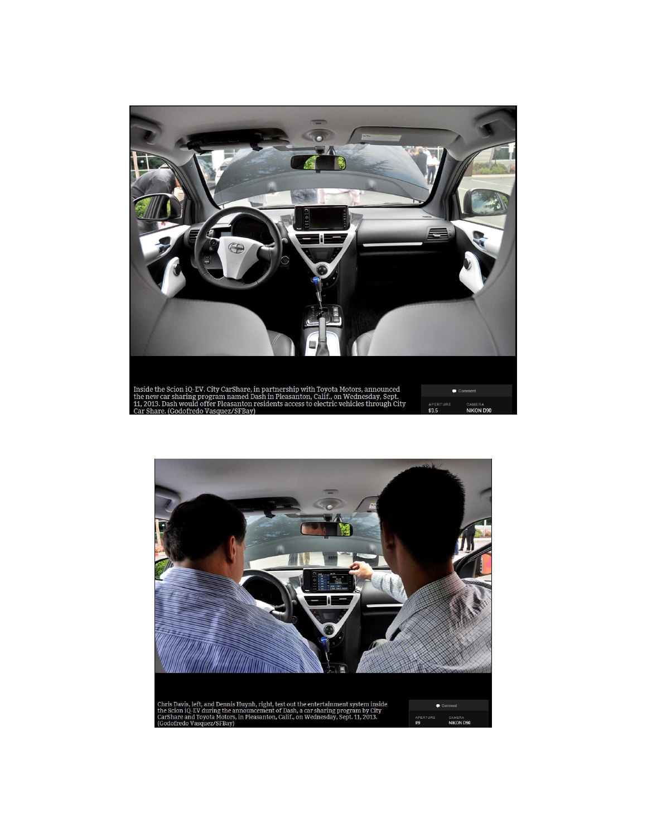